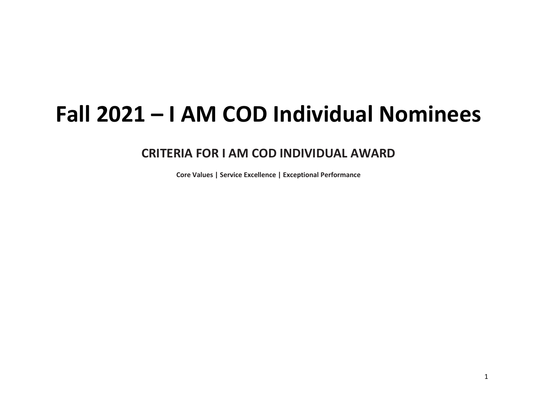## **Fall 2021 – I AM COD Individual Nominees**

## **CRITERIA FOR I AM COD INDIVIDUAL AWARD**

**Core Values | Service Excellence | Exceptional Performance**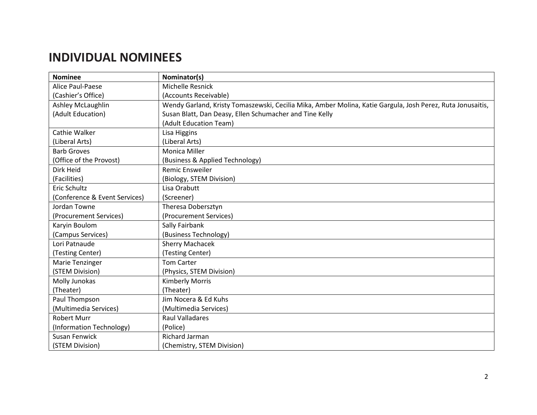## **INDIVIDUAL NOMINEES**

| <b>Nominee</b>                | Nominator(s)                                                                                               |
|-------------------------------|------------------------------------------------------------------------------------------------------------|
| <b>Alice Paul-Paese</b>       | Michelle Resnick                                                                                           |
| (Cashier's Office)            | (Accounts Receivable)                                                                                      |
| Ashley McLaughlin             | Wendy Garland, Kristy Tomaszewski, Cecilia Mika, Amber Molina, Katie Gargula, Josh Perez, Ruta Jonusaitis, |
| (Adult Education)             | Susan Blatt, Dan Deasy, Ellen Schumacher and Tine Kelly                                                    |
|                               | (Adult Education Team)                                                                                     |
| Cathie Walker                 | Lisa Higgins                                                                                               |
| (Liberal Arts)                | (Liberal Arts)                                                                                             |
| <b>Barb Groves</b>            | <b>Monica Miller</b>                                                                                       |
| (Office of the Provost)       | (Business & Applied Technology)                                                                            |
| Dirk Heid                     | <b>Remic Ensweiler</b>                                                                                     |
| (Facilities)                  | (Biology, STEM Division)                                                                                   |
| Eric Schultz                  | Lisa Orabutt                                                                                               |
| (Conference & Event Services) | (Screener)                                                                                                 |
| Jordan Towne                  | Theresa Dobersztyn                                                                                         |
| (Procurement Services)        | (Procurement Services)                                                                                     |
| Karyin Boulom                 | Sally Fairbank                                                                                             |
| (Campus Services)             | (Business Technology)                                                                                      |
| Lori Patnaude                 | <b>Sherry Machacek</b>                                                                                     |
| (Testing Center)              | (Testing Center)                                                                                           |
| Marie Tenzinger               | <b>Tom Carter</b>                                                                                          |
| (STEM Division)               | (Physics, STEM Division)                                                                                   |
| Molly Junokas                 | <b>Kimberly Morris</b>                                                                                     |
| (Theater)                     | (Theater)                                                                                                  |
| Paul Thompson                 | Jim Nocera & Ed Kuhs                                                                                       |
| (Multimedia Services)         | (Multimedia Services)                                                                                      |
| <b>Robert Murr</b>            | <b>Raul Valladares</b>                                                                                     |
| (Information Technology)      | (Police)                                                                                                   |
| Susan Fenwick                 | Richard Jarman                                                                                             |
| (STEM Division)               | (Chemistry, STEM Division)                                                                                 |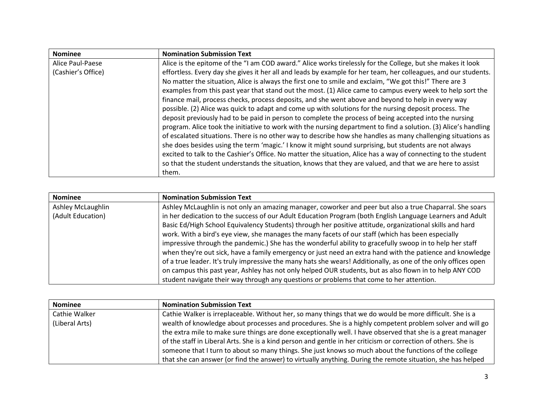| <b>Nominee</b>     | <b>Nomination Submission Text</b>                                                                               |
|--------------------|-----------------------------------------------------------------------------------------------------------------|
| Alice Paul-Paese   | Alice is the epitome of the "I am COD award." Alice works tirelessly for the College, but she makes it look     |
| (Cashier's Office) | effortless. Every day she gives it her all and leads by example for her team, her colleagues, and our students. |
|                    | No matter the situation, Alice is always the first one to smile and exclaim, "We got this!" There are 3         |
|                    | examples from this past year that stand out the most. (1) Alice came to campus every week to help sort the      |
|                    | finance mail, process checks, process deposits, and she went above and beyond to help in every way              |
|                    | possible. (2) Alice was quick to adapt and come up with solutions for the nursing deposit process. The          |
|                    | deposit previously had to be paid in person to complete the process of being accepted into the nursing          |
|                    | program. Alice took the initiative to work with the nursing department to find a solution. (3) Alice's handling |
|                    | of escalated situations. There is no other way to describe how she handles as many challenging situations as    |
|                    | she does besides using the term 'magic.' I know it might sound surprising, but students are not always          |
|                    | excited to talk to the Cashier's Office. No matter the situation, Alice has a way of connecting to the student  |
|                    | so that the student understands the situation, knows that they are valued, and that we are here to assist       |
|                    | them.                                                                                                           |

| <b>Nominee</b>    | <b>Nomination Submission Text</b>                                                                              |
|-------------------|----------------------------------------------------------------------------------------------------------------|
| Ashley McLaughlin | Ashley McLaughlin is not only an amazing manager, coworker and peer but also a true Chaparral. She soars       |
| (Adult Education) | in her dedication to the success of our Adult Education Program (both English Language Learners and Adult      |
|                   | Basic Ed/High School Equivalency Students) through her positive attitude, organizational skills and hard       |
|                   | work. With a bird's eye view, she manages the many facets of our staff (which has been especially              |
|                   | impressive through the pandemic.) She has the wonderful ability to gracefully swoop in to help her staff       |
|                   | when they're out sick, have a family emergency or just need an extra hand with the patience and knowledge      |
|                   | of a true leader. It's truly impressive the many hats she wears! Additionally, as one of the only offices open |
|                   | on campus this past year, Ashley has not only helped OUR students, but as also flown in to help ANY COD        |
|                   | student navigate their way through any questions or problems that come to her attention.                       |

| <b>Nominee</b> | <b>Nomination Submission Text</b>                                                                              |
|----------------|----------------------------------------------------------------------------------------------------------------|
| Cathie Walker  | Cathie Walker is irreplaceable. Without her, so many things that we do would be more difficult. She is a       |
| (Liberal Arts) | wealth of knowledge about processes and procedures. She is a highly competent problem solver and will go       |
|                | the extra mile to make sure things are done exceptionally well. I have observed that she is a great manager    |
|                | of the staff in Liberal Arts. She is a kind person and gentle in her criticism or correction of others. She is |
|                | someone that I turn to about so many things. She just knows so much about the functions of the college         |
|                | that she can answer (or find the answer) to virtually anything. During the remote situation, she has helped    |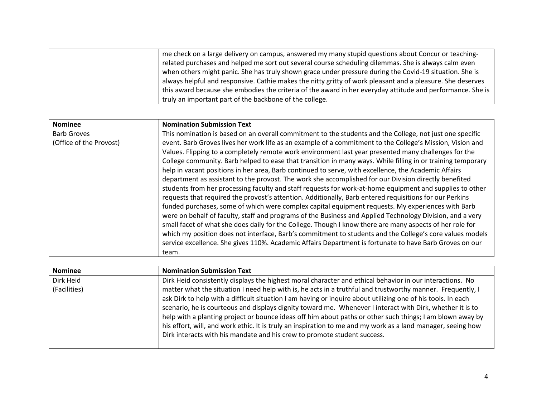| me check on a large delivery on campus, answered my many stupid questions about Concur or teaching-        |
|------------------------------------------------------------------------------------------------------------|
| related purchases and helped me sort out several course scheduling dilemmas. She is always calm even       |
| when others might panic. She has truly shown grace under pressure during the Covid-19 situation. She is    |
| always helpful and responsive. Cathie makes the nitty gritty of work pleasant and a pleasure. She deserves |
| this award because she embodies the criteria of the award in her everyday attitude and performance. She is |
| truly an important part of the backbone of the college.                                                    |

| <b>Nominee</b>          | <b>Nomination Submission Text</b>                                                                           |
|-------------------------|-------------------------------------------------------------------------------------------------------------|
| <b>Barb Groves</b>      | This nomination is based on an overall commitment to the students and the College, not just one specific    |
| (Office of the Provost) | event. Barb Groves lives her work life as an example of a commitment to the College's Mission, Vision and   |
|                         | Values. Flipping to a completely remote work environment last year presented many challenges for the        |
|                         | College community. Barb helped to ease that transition in many ways. While filling in or training temporary |
|                         | help in vacant positions in her area, Barb continued to serve, with excellence, the Academic Affairs        |
|                         | department as assistant to the provost. The work she accomplished for our Division directly benefited       |
|                         | students from her processing faculty and staff requests for work-at-home equipment and supplies to other    |
|                         | requests that required the provost's attention. Additionally, Barb entered requisitions for our Perkins     |
|                         | funded purchases, some of which were complex capital equipment requests. My experiences with Barb           |
|                         | were on behalf of faculty, staff and programs of the Business and Applied Technology Division, and a very   |
|                         | small facet of what she does daily for the College. Though I know there are many aspects of her role for    |
|                         | which my position does not interface, Barb's commitment to students and the College's core values models    |
|                         | service excellence. She gives 110%. Academic Affairs Department is fortunate to have Barb Groves on our     |
|                         | team.                                                                                                       |

| <b>Nominee</b> | <b>Nomination Submission Text</b>                                                                            |
|----------------|--------------------------------------------------------------------------------------------------------------|
| Dirk Heid      | Dirk Heid consistently displays the highest moral character and ethical behavior in our interactions. No     |
| (Facilities)   | matter what the situation I need help with is, he acts in a truthful and trustworthy manner. Frequently, I   |
|                | ask Dirk to help with a difficult situation I am having or inquire about utilizing one of his tools. In each |
|                | scenario, he is courteous and displays dignity toward me. Whenever I interact with Dirk, whether it is to    |
|                | help with a planting project or bounce ideas off him about paths or other such things; I am blown away by    |
|                | his effort, will, and work ethic. It is truly an inspiration to me and my work as a land manager, seeing how |
|                | Dirk interacts with his mandate and his crew to promote student success.                                     |
|                |                                                                                                              |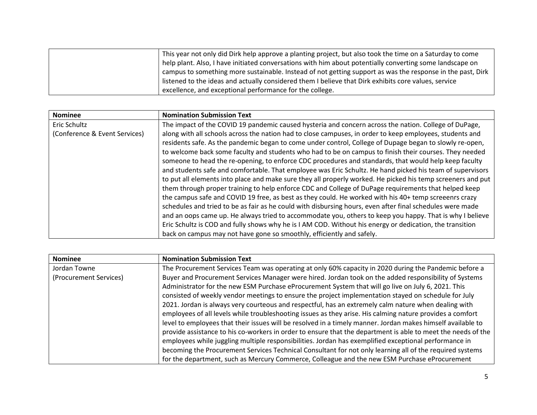| This year not only did Dirk help approve a planting project, but also took the time on a Saturday to come  |
|------------------------------------------------------------------------------------------------------------|
| help plant. Also, I have initiated conversations with him about potentially converting some landscape on   |
| campus to something more sustainable. Instead of not getting support as was the response in the past, Dirk |
| listened to the ideas and actually considered them I believe that Dirk exhibits core values, service       |
| excellence, and exceptional performance for the college.                                                   |

| <b>Nominee</b>                | <b>Nomination Submission Text</b>                                                                           |
|-------------------------------|-------------------------------------------------------------------------------------------------------------|
| Eric Schultz                  | The impact of the COVID 19 pandemic caused hysteria and concern across the nation. College of DuPage,       |
| (Conference & Event Services) | along with all schools across the nation had to close campuses, in order to keep employees, students and    |
|                               | residents safe. As the pandemic began to come under control, College of Dupage began to slowly re-open,     |
|                               | to welcome back some faculty and students who had to be on campus to finish their courses. They needed      |
|                               | someone to head the re-opening, to enforce CDC procedures and standards, that would help keep faculty       |
|                               | and students safe and comfortable. That employee was Eric Schultz. He hand picked his team of supervisors   |
|                               | to put all elements into place and make sure they all properly worked. He picked his temp screeners and put |
|                               | them through proper training to help enforce CDC and College of DuPage requirements that helped keep        |
|                               | the campus safe and COVID 19 free, as best as they could. He worked with his 40+ temp screeenrs crazy       |
|                               | schedules and tried to be as fair as he could with disbursing hours, even after final schedules were made   |
|                               | and an oops came up. He always tried to accommodate you, others to keep you happy. That is why I believe    |
|                               | Eric Schultz is COD and fully shows why he is I AM COD. Without his energy or dedication, the transition    |
|                               | back on campus may not have gone so smoothly, efficiently and safely.                                       |

| <b>Nominee</b>         | <b>Nomination Submission Text</b>                                                                            |
|------------------------|--------------------------------------------------------------------------------------------------------------|
| Jordan Towne           | The Procurement Services Team was operating at only 60% capacity in 2020 during the Pandemic before a        |
| (Procurement Services) | Buyer and Procurement Services Manager were hired. Jordan took on the added responsibility of Systems        |
|                        | Administrator for the new ESM Purchase eProcurement System that will go live on July 6, 2021. This           |
|                        | consisted of weekly vendor meetings to ensure the project implementation stayed on schedule for July         |
|                        | 2021. Jordan is always very courteous and respectful, has an extremely calm nature when dealing with         |
|                        | employees of all levels while troubleshooting issues as they arise. His calming nature provides a comfort    |
|                        | level to employees that their issues will be resolved in a timely manner. Jordan makes himself available to  |
|                        | provide assistance to his co-workers in order to ensure that the department is able to meet the needs of the |
|                        | employees while juggling multiple responsibilities. Jordan has exemplified exceptional performance in        |
|                        | becoming the Procurement Services Technical Consultant for not only learning all of the required systems     |
|                        | for the department, such as Mercury Commerce, Colleague and the new ESM Purchase eProcurement                |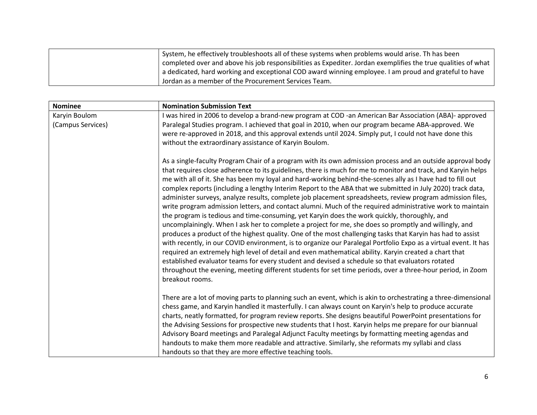| System, he effectively troubleshoots all of these systems when problems would arise. Th has been              |
|---------------------------------------------------------------------------------------------------------------|
| completed over and above his job responsibilities as Expediter. Jordan exemplifies the true qualities of what |
| a dedicated, hard working and exceptional COD award winning employee. I am proud and grateful to have         |
| Jordan as a member of the Procurement Services Team.                                                          |

| <b>Nominee</b>    | <b>Nomination Submission Text</b>                                                                                                                                                                                                                                                                                                                                                                                                                                                                                                                                                                                                                                                                                                                                                                                                                                                                                                                                                                       |
|-------------------|---------------------------------------------------------------------------------------------------------------------------------------------------------------------------------------------------------------------------------------------------------------------------------------------------------------------------------------------------------------------------------------------------------------------------------------------------------------------------------------------------------------------------------------------------------------------------------------------------------------------------------------------------------------------------------------------------------------------------------------------------------------------------------------------------------------------------------------------------------------------------------------------------------------------------------------------------------------------------------------------------------|
| Karyin Boulom     | I was hired in 2006 to develop a brand-new program at COD -an American Bar Association (ABA)- approved                                                                                                                                                                                                                                                                                                                                                                                                                                                                                                                                                                                                                                                                                                                                                                                                                                                                                                  |
| (Campus Services) | Paralegal Studies program. I achieved that goal in 2010, when our program became ABA-approved. We                                                                                                                                                                                                                                                                                                                                                                                                                                                                                                                                                                                                                                                                                                                                                                                                                                                                                                       |
|                   | were re-approved in 2018, and this approval extends until 2024. Simply put, I could not have done this                                                                                                                                                                                                                                                                                                                                                                                                                                                                                                                                                                                                                                                                                                                                                                                                                                                                                                  |
|                   | without the extraordinary assistance of Karyin Boulom.                                                                                                                                                                                                                                                                                                                                                                                                                                                                                                                                                                                                                                                                                                                                                                                                                                                                                                                                                  |
|                   | As a single-faculty Program Chair of a program with its own admission process and an outside approval body<br>that requires close adherence to its guidelines, there is much for me to monitor and track, and Karyin helps<br>me with all of it. She has been my loyal and hard-working behind-the-scenes ally as I have had to fill out<br>complex reports (including a lengthy Interim Report to the ABA that we submitted in July 2020) track data,<br>administer surveys, analyze results, complete job placement spreadsheets, review program admission files,<br>write program admission letters, and contact alumni. Much of the required administrative work to maintain<br>the program is tedious and time-consuming, yet Karyin does the work quickly, thoroughly, and<br>uncomplainingly. When I ask her to complete a project for me, she does so promptly and willingly, and<br>produces a product of the highest quality. One of the most challenging tasks that Karyin has had to assist |
|                   | with recently, in our COVID environment, is to organize our Paralegal Portfolio Expo as a virtual event. It has<br>required an extremely high level of detail and even mathematical ability. Karyin created a chart that<br>established evaluator teams for every student and devised a schedule so that evaluators rotated<br>throughout the evening, meeting different students for set time periods, over a three-hour period, in Zoom<br>breakout rooms.                                                                                                                                                                                                                                                                                                                                                                                                                                                                                                                                            |
|                   | There are a lot of moving parts to planning such an event, which is akin to orchestrating a three-dimensional<br>chess game, and Karyin handled it masterfully. I can always count on Karyin's help to produce accurate<br>charts, neatly formatted, for program review reports. She designs beautiful PowerPoint presentations for<br>the Advising Sessions for prospective new students that I host. Karyin helps me prepare for our biannual<br>Advisory Board meetings and Paralegal Adjunct Faculty meetings by formatting meeting agendas and                                                                                                                                                                                                                                                                                                                                                                                                                                                     |
|                   | handouts to make them more readable and attractive. Similarly, she reformats my syllabi and class<br>handouts so that they are more effective teaching tools.                                                                                                                                                                                                                                                                                                                                                                                                                                                                                                                                                                                                                                                                                                                                                                                                                                           |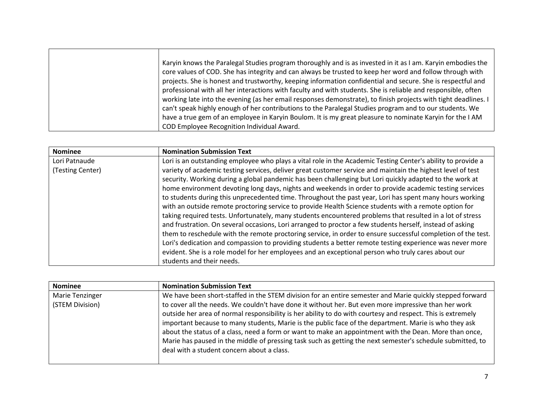| Karyin knows the Paralegal Studies program thoroughly and is as invested in it as I am. Karyin embodies the<br>core values of COD. She has integrity and can always be trusted to keep her word and follow through with      |
|------------------------------------------------------------------------------------------------------------------------------------------------------------------------------------------------------------------------------|
| projects. She is honest and trustworthy, keeping information confidential and secure. She is respectful and<br>professional with all her interactions with faculty and with students. She is reliable and responsible, often |
| working late into the evening (as her email responses demonstrate), to finish projects with tight deadlines. I<br>can't speak highly enough of her contributions to the Paralegal Studies program and to our students. We    |
| have a true gem of an employee in Karyin Boulom. It is my great pleasure to nominate Karyin for the I AM                                                                                                                     |
| COD Employee Recognition Individual Award.                                                                                                                                                                                   |

| <b>Nominee</b>   | <b>Nomination Submission Text</b>                                                                                                                                                                                                                                                                                                                                                                                                                                                                                                                                                                                                                                                                                                                                                                                                                                                                                                                                                                          |
|------------------|------------------------------------------------------------------------------------------------------------------------------------------------------------------------------------------------------------------------------------------------------------------------------------------------------------------------------------------------------------------------------------------------------------------------------------------------------------------------------------------------------------------------------------------------------------------------------------------------------------------------------------------------------------------------------------------------------------------------------------------------------------------------------------------------------------------------------------------------------------------------------------------------------------------------------------------------------------------------------------------------------------|
| Lori Patnaude    | Lori is an outstanding employee who plays a vital role in the Academic Testing Center's ability to provide a                                                                                                                                                                                                                                                                                                                                                                                                                                                                                                                                                                                                                                                                                                                                                                                                                                                                                               |
| (Testing Center) | variety of academic testing services, deliver great customer service and maintain the highest level of test<br>security. Working during a global pandemic has been challenging but Lori quickly adapted to the work at<br>home environment devoting long days, nights and weekends in order to provide academic testing services<br>to students during this unprecedented time. Throughout the past year, Lori has spent many hours working<br>with an outside remote proctoring service to provide Health Science students with a remote option for<br>taking required tests. Unfortunately, many students encountered problems that resulted in a lot of stress<br>and frustration. On several occasions, Lori arranged to proctor a few students herself, instead of asking<br>them to reschedule with the remote proctoring service, in order to ensure successful completion of the test.<br>Lori's dedication and compassion to providing students a better remote testing experience was never more |
|                  | evident. She is a role model for her employees and an exceptional person who truly cares about our                                                                                                                                                                                                                                                                                                                                                                                                                                                                                                                                                                                                                                                                                                                                                                                                                                                                                                         |
|                  | students and their needs.                                                                                                                                                                                                                                                                                                                                                                                                                                                                                                                                                                                                                                                                                                                                                                                                                                                                                                                                                                                  |

| <b>Nominee</b>                            | <b>Nomination Submission Text</b>                                                                                                                                                                                                                                                                                                                                                                                                                                                                                                                                                                                                                                                                              |
|-------------------------------------------|----------------------------------------------------------------------------------------------------------------------------------------------------------------------------------------------------------------------------------------------------------------------------------------------------------------------------------------------------------------------------------------------------------------------------------------------------------------------------------------------------------------------------------------------------------------------------------------------------------------------------------------------------------------------------------------------------------------|
| <b>Marie Tenzinger</b><br>(STEM Division) | We have been short-staffed in the STEM division for an entire semester and Marie quickly stepped forward<br>to cover all the needs. We couldn't have done it without her. But even more impressive than her work<br>outside her area of normal responsibility is her ability to do with courtesy and respect. This is extremely<br>important because to many students, Marie is the public face of the department. Marie is who they ask<br>about the status of a class, need a form or want to make an appointment with the Dean. More than once,<br>Marie has paused in the middle of pressing task such as getting the next semester's schedule submitted, to<br>deal with a student concern about a class. |
|                                           |                                                                                                                                                                                                                                                                                                                                                                                                                                                                                                                                                                                                                                                                                                                |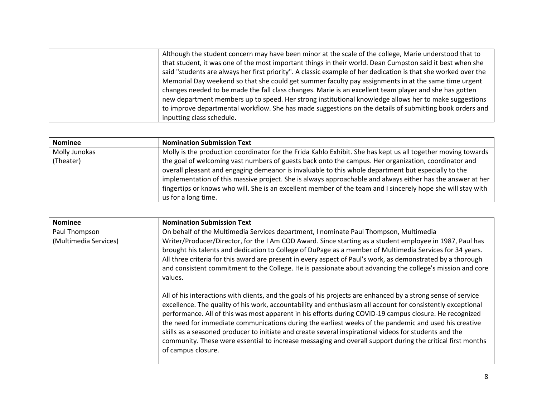| Although the student concern may have been minor at the scale of the college, Marie understood that to         |
|----------------------------------------------------------------------------------------------------------------|
| that student, it was one of the most important things in their world. Dean Cumpston said it best when she      |
| said "students are always her first priority". A classic example of her dedication is that she worked over the |
| Memorial Day weekend so that she could get summer faculty pay assignments in at the same time urgent           |
| changes needed to be made the fall class changes. Marie is an excellent team player and she has gotten         |
| new department members up to speed. Her strong institutional knowledge allows her to make suggestions          |
| to improve departmental workflow. She has made suggestions on the details of submitting book orders and        |
| inputting class schedule.                                                                                      |

| <b>Nominee</b> | <b>Nomination Submission Text</b>                                                                            |
|----------------|--------------------------------------------------------------------------------------------------------------|
| Molly Junokas  | Molly is the production coordinator for the Frida Kahlo Exhibit. She has kept us all together moving towards |
| (Theater)      | the goal of welcoming vast numbers of guests back onto the campus. Her organization, coordinator and         |
|                | overall pleasant and engaging demeanor is invaluable to this whole department but especially to the          |
|                | implementation of this massive project. She is always approachable and always either has the answer at her   |
|                | fingertips or knows who will. She is an excellent member of the team and I sincerely hope she will stay with |
|                | us for a long time.                                                                                          |

| <b>Nominee</b>                         | <b>Nomination Submission Text</b>                                                                                                                                                                                                                                                                                                                                                                                                                                                                                                                                                                                                                                                              |
|----------------------------------------|------------------------------------------------------------------------------------------------------------------------------------------------------------------------------------------------------------------------------------------------------------------------------------------------------------------------------------------------------------------------------------------------------------------------------------------------------------------------------------------------------------------------------------------------------------------------------------------------------------------------------------------------------------------------------------------------|
| Paul Thompson<br>(Multimedia Services) | On behalf of the Multimedia Services department, I nominate Paul Thompson, Multimedia<br>Writer/Producer/Director, for the I Am COD Award. Since starting as a student employee in 1987, Paul has<br>brought his talents and dedication to College of DuPage as a member of Multimedia Services for 34 years.<br>All three criteria for this award are present in every aspect of Paul's work, as demonstrated by a thorough<br>and consistent commitment to the College. He is passionate about advancing the college's mission and core<br>values.                                                                                                                                           |
|                                        | All of his interactions with clients, and the goals of his projects are enhanced by a strong sense of service<br>excellence. The quality of his work, accountability and enthusiasm all account for consistently exceptional<br>performance. All of this was most apparent in his efforts during COVID-19 campus closure. He recognized<br>the need for immediate communications during the earliest weeks of the pandemic and used his creative<br>skills as a seasoned producer to initiate and create several inspirational videos for students and the<br>community. These were essential to increase messaging and overall support during the critical first months<br>of campus closure. |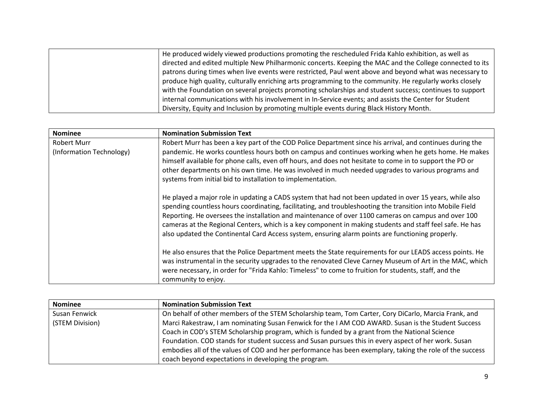| He produced widely viewed productions promoting the rescheduled Frida Kahlo exhibition, as well as       |
|----------------------------------------------------------------------------------------------------------|
| directed and edited multiple New Philharmonic concerts. Keeping the MAC and the College connected to its |
| patrons during times when live events were restricted, Paul went above and beyond what was necessary to  |
| produce high quality, culturally enriching arts programming to the community. He regularly works closely |
| with the Foundation on several projects promoting scholarships and student success; continues to support |
| internal communications with his involvement in In-Service events; and assists the Center for Student    |
| Diversity, Equity and Inclusion by promoting multiple events during Black History Month.                 |

| <b>Nominee</b>                          | <b>Nomination Submission Text</b>                                                                                                                                                                                                                                                                                                                                                                                                                                                                                                           |
|-----------------------------------------|---------------------------------------------------------------------------------------------------------------------------------------------------------------------------------------------------------------------------------------------------------------------------------------------------------------------------------------------------------------------------------------------------------------------------------------------------------------------------------------------------------------------------------------------|
| Robert Murr<br>(Information Technology) | Robert Murr has been a key part of the COD Police Department since his arrival, and continues during the<br>pandemic. He works countless hours both on campus and continues working when he gets home. He makes<br>himself available for phone calls, even off hours, and does not hesitate to come in to support the PD or<br>other departments on his own time. He was involved in much needed upgrades to various programs and<br>systems from initial bid to installation to implementation.                                            |
|                                         | He played a major role in updating a CADS system that had not been updated in over 15 years, while also<br>spending countless hours coordinating, facilitating, and troubleshooting the transition into Mobile Field<br>Reporting. He oversees the installation and maintenance of over 1100 cameras on campus and over 100<br>cameras at the Regional Centers, which is a key component in making students and staff feel safe. He has<br>also updated the Continental Card Access system, ensuring alarm points are functioning properly. |
|                                         | He also ensures that the Police Department meets the State requirements for our LEADS access points. He<br>was instrumental in the security upgrades to the renovated Cleve Carney Museum of Art in the MAC, which<br>were necessary, in order for "Frida Kahlo: Timeless" to come to fruition for students, staff, and the<br>community to enjoy.                                                                                                                                                                                          |

| <b>Nominee</b>  | <b>Nomination Submission Text</b>                                                                        |
|-----------------|----------------------------------------------------------------------------------------------------------|
| Susan Fenwick   | On behalf of other members of the STEM Scholarship team, Tom Carter, Cory DiCarlo, Marcia Frank, and     |
| (STEM Division) | Marci Rakestraw, I am nominating Susan Fenwick for the I AM COD AWARD. Susan is the Student Success      |
|                 | Coach in COD's STEM Scholarship program, which is funded by a grant from the National Science            |
|                 | Foundation. COD stands for student success and Susan pursues this in every aspect of her work. Susan     |
|                 | embodies all of the values of COD and her performance has been exemplary, taking the role of the success |
|                 | coach beyond expectations in developing the program.                                                     |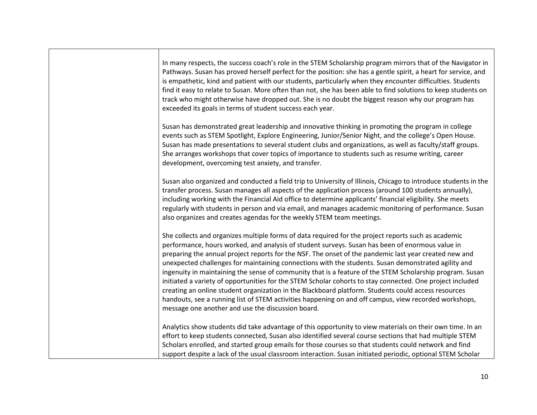| In many respects, the success coach's role in the STEM Scholarship program mirrors that of the Navigator in<br>Pathways. Susan has proved herself perfect for the position: she has a gentle spirit, a heart for service, and<br>is empathetic, kind and patient with our students, particularly when they encounter difficulties. Students<br>find it easy to relate to Susan. More often than not, she has been able to find solutions to keep students on<br>track who might otherwise have dropped out. She is no doubt the biggest reason why our program has<br>exceeded its goals in terms of student success each year.                                                                                                                                                                                                                                                                                      |
|----------------------------------------------------------------------------------------------------------------------------------------------------------------------------------------------------------------------------------------------------------------------------------------------------------------------------------------------------------------------------------------------------------------------------------------------------------------------------------------------------------------------------------------------------------------------------------------------------------------------------------------------------------------------------------------------------------------------------------------------------------------------------------------------------------------------------------------------------------------------------------------------------------------------|
| Susan has demonstrated great leadership and innovative thinking in promoting the program in college<br>events such as STEM Spotlight, Explore Engineering, Junior/Senior Night, and the college's Open House.<br>Susan has made presentations to several student clubs and organizations, as well as faculty/staff groups.<br>She arranges workshops that cover topics of importance to students such as resume writing, career<br>development, overcoming test anxiety, and transfer.                                                                                                                                                                                                                                                                                                                                                                                                                               |
| Susan also organized and conducted a field trip to University of Illinois, Chicago to introduce students in the<br>transfer process. Susan manages all aspects of the application process (around 100 students annually),<br>including working with the Financial Aid office to determine applicants' financial eligibility. She meets<br>regularly with students in person and via email, and manages academic monitoring of performance. Susan<br>also organizes and creates agendas for the weekly STEM team meetings.                                                                                                                                                                                                                                                                                                                                                                                            |
| She collects and organizes multiple forms of data required for the project reports such as academic<br>performance, hours worked, and analysis of student surveys. Susan has been of enormous value in<br>preparing the annual project reports for the NSF. The onset of the pandemic last year created new and<br>unexpected challenges for maintaining connections with the students. Susan demonstrated agility and<br>ingenuity in maintaining the sense of community that is a feature of the STEM Scholarship program. Susan<br>initiated a variety of opportunities for the STEM Scholar cohorts to stay connected. One project included<br>creating an online student organization in the Blackboard platform. Students could access resources<br>handouts, see a running list of STEM activities happening on and off campus, view recorded workshops,<br>message one another and use the discussion board. |
| Analytics show students did take advantage of this opportunity to view materials on their own time. In an<br>effort to keep students connected, Susan also identified several course sections that had multiple STEM<br>Scholars enrolled, and started group emails for those courses so that students could network and find<br>support despite a lack of the usual classroom interaction. Susan initiated periodic, optional STEM Scholar                                                                                                                                                                                                                                                                                                                                                                                                                                                                          |

Г